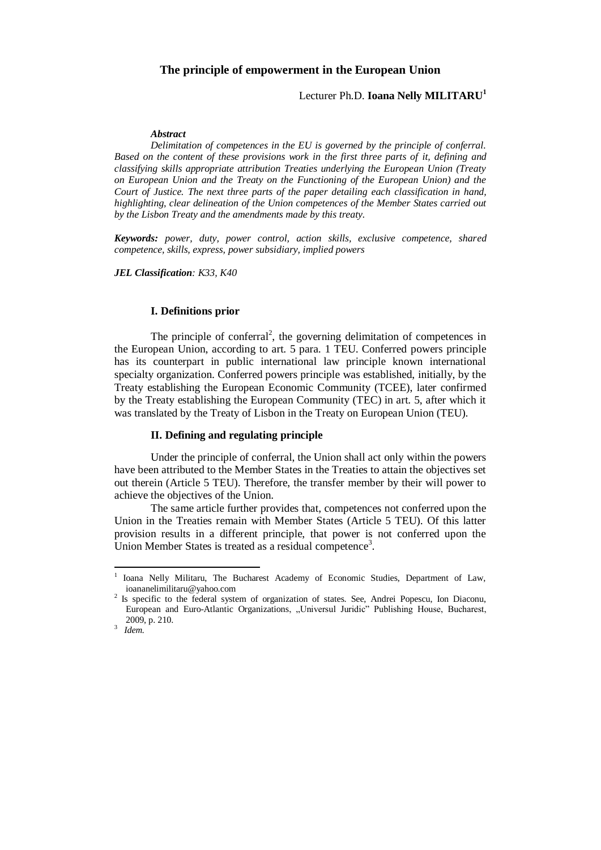### **The principle of empowerment in the European Union**

# Lecturer Ph.D. **Ioana Nelly MILITARU<sup>1</sup>**

#### *Abstract*

*Delimitation of competences in the EU is governed by the principle of conferral. Based on the content of these provisions work in the first three parts of it, defining and classifying skills appropriate attribution Treaties underlying the European Union (Treaty on European Union and the Treaty on the Functioning of the European Union) and the Court of Justice. The next three parts of the paper detailing each classification in hand, highlighting, clear delineation of the Union competences of the Member States carried out by the Lisbon Treaty and the amendments made by this treaty.*

*Keywords: power, duty, power control, action skills, exclusive competence, shared competence, skills, express, power subsidiary, implied powers*

*JEL Classification: K33, K40*

#### **I. Definitions prior**

The principle of conferral<sup>2</sup>, the governing delimitation of competences in the European Union, according to art. 5 para. 1 TEU. Conferred powers principle has its counterpart in public international law principle known international specialty organization. Conferred powers principle was established, initially, by the Treaty establishing the European Economic Community (TCEE), later confirmed by the Treaty establishing the European Community (TEC) in art. 5, after which it was translated by the Treaty of Lisbon in the Treaty on European Union (TEU).

### **II. Defining and regulating principle**

Under the principle of conferral, the Union shall act only within the powers have been attributed to the Member States in the Treaties to attain the objectives set out therein (Article 5 TEU). Therefore, the transfer member by their will power to achieve the objectives of the Union.

The same article further provides that, competences not conferred upon the Union in the Treaties remain with Member States (Article 5 TEU). Of this latter provision results in a different principle, that power is not conferred upon the Union Member States is treated as a residual competence<sup>3</sup>.

1

<sup>1</sup> Ioana Nelly Militaru, The Bucharest Academy of Economic Studies, Department of Law, ioananelimilitaru@yahoo.com

<sup>&</sup>lt;sup>2</sup> Is specific to the federal system of organization of states. See, Andrei Popescu, Ion Diaconu, European and Euro-Atlantic Organizations, "Universul Juridic" Publishing House, Bucharest, 2009, p. 210. 3

*Idem.*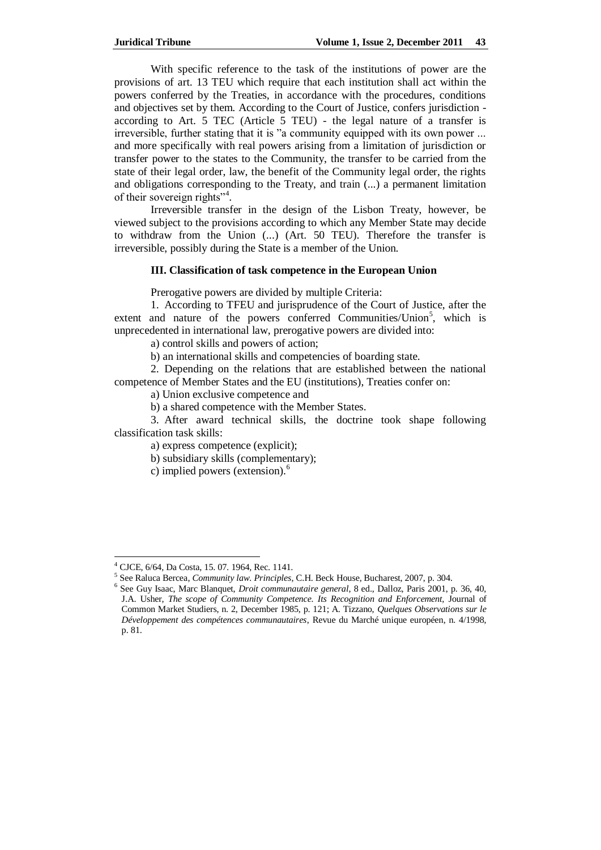With specific reference to the task of the institutions of power are the provisions of art. 13 TEU which require that each institution shall act within the powers conferred by the Treaties, in accordance with the procedures, conditions and objectives set by them. According to the Court of Justice, confers jurisdiction according to Art. 5 TEC (Article 5 TEU) - the legal nature of a transfer is irreversible, further stating that it is "a community equipped with its own power ... and more specifically with real powers arising from a limitation of jurisdiction or transfer power to the states to the Community, the transfer to be carried from the state of their legal order, law, the benefit of the Community legal order, the rights and obligations corresponding to the Treaty, and train (...) a permanent limitation of their sovereign rights"<sup>4</sup>.

Irreversible transfer in the design of the Lisbon Treaty, however, be viewed subject to the provisions according to which any Member State may decide to withdraw from the Union (...) (Art. 50 TEU). Therefore the transfer is irreversible, possibly during the State is a member of the Union.

### **III. Classification of task competence in the European Union**

Prerogative powers are divided by multiple Criteria:

1. According to TFEU and jurisprudence of the Court of Justice, after the extent and nature of the powers conferred Communities/Union<sup>5</sup>, which is unprecedented in international law, prerogative powers are divided into:

a) control skills and powers of action;

b) an international skills and competencies of boarding state.

2. Depending on the relations that are established between the national competence of Member States and the EU (institutions), Treaties confer on:

a) Union exclusive competence and

b) a shared competence with the Member States.

3. After award technical skills, the doctrine took shape following classification task skills:

a) express competence (explicit);

b) subsidiary skills (complementary);

c) implied powers (extension).<sup>6</sup>

<sup>4</sup> CJCE, 6/64, Da Costa, 15. 07. 1964, Rec. 1141.

<sup>5</sup> See Raluca Bercea, *Community law. Principles*, C.H. Beck House, Bucharest, 2007, p. 304.

<sup>6</sup> See Guy Isaac, Marc Blanquet, *Droit communautaire general*, 8 ed., Dalloz, Paris 2001, p. 36, 40, J.A. Usher, *The scope of Community Competence. Its Recognition and Enforcement,* Journal of Common Market Studiers, n. 2, December 1985, p. 121; A. Tizzano, *Quelques Observations sur le Développement des compétences communautaires*, Revue du Marché unique européen, n. 4/1998, p. 81.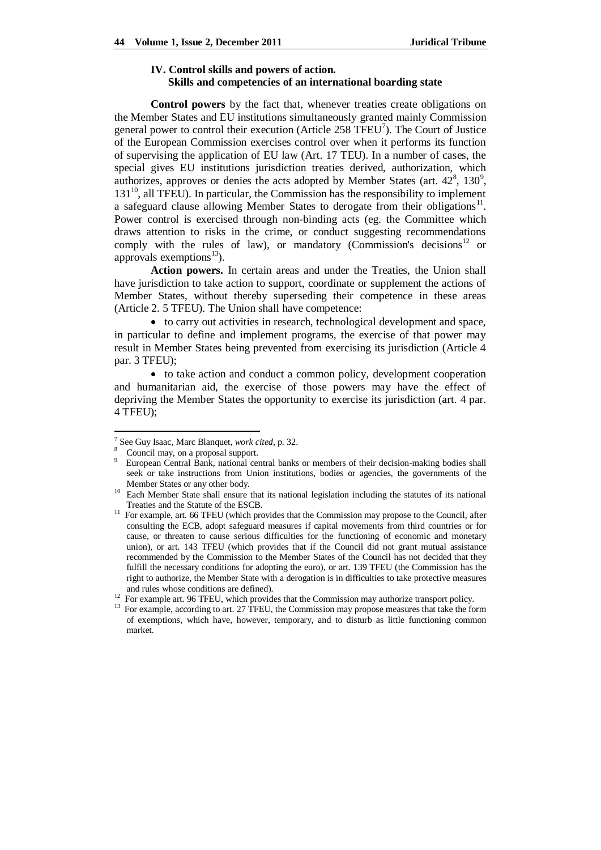# **IV. Control skills and powers of action. Skills and competencies of an international boarding state**

**Control powers** by the fact that, whenever treaties create obligations on the Member States and EU institutions simultaneously granted mainly Commission general power to control their execution (Article  $258$  TFEU<sup>7</sup>). The Court of Justice of the European Commission exercises control over when it performs its function of supervising the application of EU law (Art. 17 TEU). In a number of cases, the special gives EU institutions jurisdiction treaties derived, authorization, which authorizes, approves or denies the acts adopted by Member States (art.  $42^8$ ,  $130^9$ ,  $131<sup>10</sup>$ , all TFEU). In particular, the Commission has the responsibility to implement a safeguard clause allowing Member States to derogate from their obligations $^{11}$ . Power control is exercised through non-binding acts (eg. the Committee which draws attention to risks in the crime, or conduct suggesting recommendations comply with the rules of law), or mandatory (Commission's decisions<sup>12</sup> or approvals exemptions $^{13}$ ).

**Action powers.** In certain areas and under the Treaties, the Union shall have jurisdiction to take action to support, coordinate or supplement the actions of Member States, without thereby superseding their competence in these areas (Article 2. 5 TFEU). The Union shall have competence:

 to carry out activities in research, technological development and space, in particular to define and implement programs, the exercise of that power may result in Member States being prevented from exercising its jurisdiction (Article 4 par. 3 TFEU);

 to take action and conduct a common policy, development cooperation and humanitarian aid, the exercise of those powers may have the effect of depriving the Member States the opportunity to exercise its jurisdiction (art. 4 par. 4 TFEU);

<sup>7</sup> See Guy Isaac, Marc Blanquet, *work cited*, p. 32.

<sup>8</sup> Council may, on a proposal support.

<sup>&</sup>lt;sup>9</sup> European Central Bank, national central banks or members of their decision-making bodies shall seek or take instructions from Union institutions, bodies or agencies, the governments of the Member States or any other body.

<sup>&</sup>lt;sup>10</sup> Each Member State shall ensure that its national legislation including the statutes of its national Treaties and the Statute of the ESCB.

<sup>&</sup>lt;sup>11</sup> For example, art. 66 TFEU (which provides that the Commission may propose to the Council, after consulting the ECB, adopt safeguard measures if capital movements from third countries or for cause, or threaten to cause serious difficulties for the functioning of economic and monetary union), or art. 143 TFEU (which provides that if the Council did not grant mutual assistance recommended by the Commission to the Member States of the Council has not decided that they fulfill the necessary conditions for adopting the euro), or art. 139 TFEU (the Commission has the right to authorize, the Member State with a derogation is in difficulties to take protective measures and rules whose conditions are defined).

<sup>&</sup>lt;sup>12</sup> For example art. 96 TFEU, which provides that the Commission may authorize transport policy.

<sup>&</sup>lt;sup>13</sup> For example, according to art. 27 TFEU, the Commission may propose measures that take the form of exemptions, which have, however, temporary, and to disturb as little functioning common market.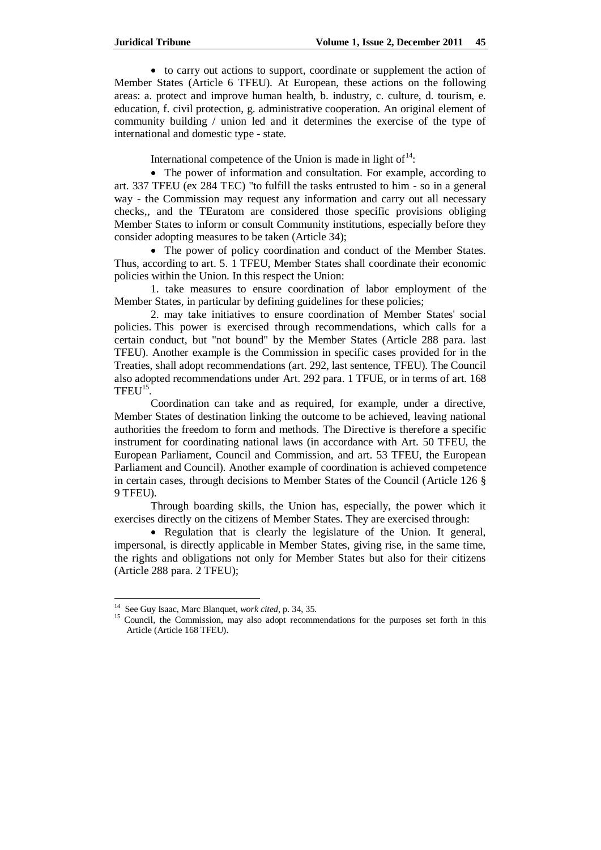to carry out actions to support, coordinate or supplement the action of Member States (Article 6 TFEU). At European, these actions on the following areas: a. protect and improve human health, b. industry, c. culture, d. tourism, e. education, f. civil protection, g. administrative cooperation. An original element of community building / union led and it determines the exercise of the type of international and domestic type - state.

International competence of the Union is made in light of $14$ :

• The power of information and consultation. For example, according to art. 337 TFEU (ex 284 TEC) "to fulfill the tasks entrusted to him - so in a general way - the Commission may request any information and carry out all necessary checks,, and the TEuratom are considered those specific provisions obliging Member States to inform or consult Community institutions, especially before they consider adopting measures to be taken (Article 34);

 The power of policy coordination and conduct of the Member States. Thus, according to art. 5. 1 TFEU, Member States shall coordinate their economic policies within the Union. In this respect the Union:

1. take measures to ensure coordination of labor employment of the Member States, in particular by defining guidelines for these policies;

2. may take initiatives to ensure coordination of Member States' social policies. This power is exercised through recommendations, which calls for a certain conduct, but "not bound" by the Member States (Article 288 para. last TFEU). Another example is the Commission in specific cases provided for in the Treaties, shall adopt recommendations (art. 292, last sentence, TFEU). The Council also adopted recommendations under Art. 292 para. 1 TFUE, or in terms of art. 168  $TFEU<sup>15</sup>$ .

Coordination can take and as required, for example, under a directive, Member States of destination linking the outcome to be achieved, leaving national authorities the freedom to form and methods. The Directive is therefore a specific instrument for coordinating national laws (in accordance with Art. 50 TFEU, the European Parliament, Council and Commission, and art. 53 TFEU, the European Parliament and Council). Another example of coordination is achieved competence in certain cases, through decisions to Member States of the Council (Article 126 § 9 TFEU).

Through boarding skills, the Union has, especially, the power which it exercises directly on the citizens of Member States. They are exercised through:

• Regulation that is clearly the legislature of the Union. It general, impersonal, is directly applicable in Member States, giving rise, in the same time, the rights and obligations not only for Member States but also for their citizens (Article 288 para. 2 TFEU);

<sup>14</sup> See Guy Isaac, Marc Blanquet, *work cited*, p. 34, 35.

<sup>&</sup>lt;sup>15</sup> Council, the Commission, may also adopt recommendations for the purposes set forth in this Article (Article 168 TFEU).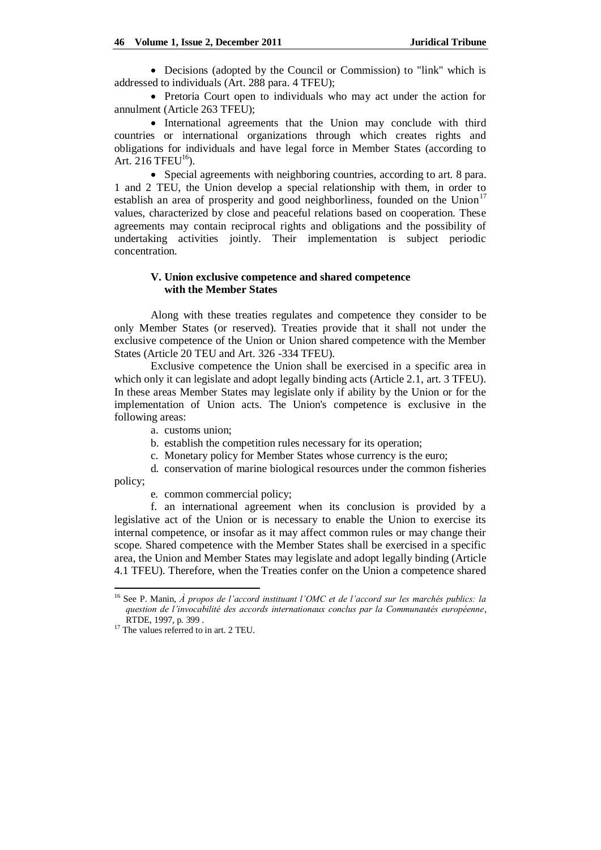Decisions (adopted by the Council or Commission) to "link" which is addressed to individuals (Art. 288 para. 4 TFEU);

• Pretoria Court open to individuals who may act under the action for annulment (Article 263 TFEU);

• International agreements that the Union may conclude with third countries or international organizations through which creates rights and obligations for individuals and have legal force in Member States (according to Art. 216 TFEU $16$ ).

• Special agreements with neighboring countries, according to art. 8 para. 1 and 2 TEU, the Union develop a special relationship with them, in order to establish an area of prosperity and good neighborliness, founded on the Union<sup>17</sup> values, characterized by close and peaceful relations based on cooperation. These agreements may contain reciprocal rights and obligations and the possibility of undertaking activities jointly. Their implementation is subject periodic concentration.

# **V. Union exclusive competence and shared competence with the Member States**

Along with these treaties regulates and competence they consider to be only Member States (or reserved). Treaties provide that it shall not under the exclusive competence of the Union or Union shared competence with the Member States (Article 20 TEU and Art. 326 -334 TFEU).

Exclusive competence the Union shall be exercised in a specific area in which only it can legislate and adopt legally binding acts (Article 2.1, art. 3 TFEU). In these areas Member States may legislate only if ability by the Union or for the implementation of Union acts. The Union's competence is exclusive in the following areas:

- a. customs union;
- b. establish the competition rules necessary for its operation;
- c. Monetary policy for Member States whose currency is the euro;

d. conservation of marine biological resources under the common fisheries

policy;

1

e. common commercial policy;

f. an international agreement when its conclusion is provided by a legislative act of the Union or is necessary to enable the Union to exercise its internal competence, or insofar as it may affect common rules or may change their scope. Shared competence with the Member States shall be exercised in a specific area, the Union and Member States may legislate and adopt legally binding (Article 4.1 TFEU). Therefore, when the Treaties confer on the Union a competence shared

<sup>16</sup> See P. Manin, *À propos de l'accord instituant l'OMC et de l'accord sur les marchés publics: la question de l'invocabilité des accords internationaux conclus par la Communautés européenne*, RTDE, 1997, p. 399 .

<sup>&</sup>lt;sup>17</sup> The values referred to in art. 2 TEU.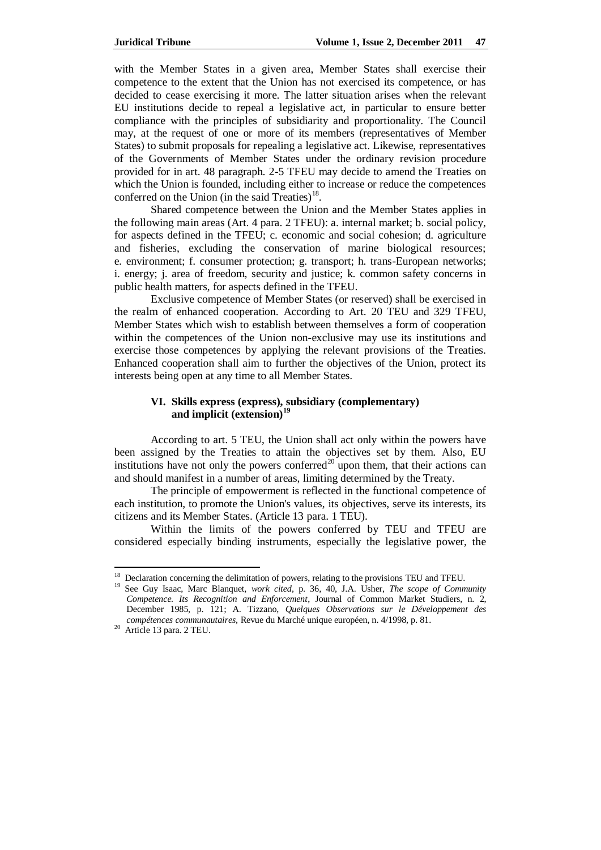with the Member States in a given area, Member States shall exercise their competence to the extent that the Union has not exercised its competence, or has decided to cease exercising it more. The latter situation arises when the relevant EU institutions decide to repeal a legislative act, in particular to ensure better compliance with the principles of subsidiarity and proportionality. The Council may, at the request of one or more of its members (representatives of Member States) to submit proposals for repealing a legislative act. Likewise, representatives of the Governments of Member States under the ordinary revision procedure provided for in art. 48 paragraph. 2-5 TFEU may decide to amend the Treaties on which the Union is founded, including either to increase or reduce the competences conferred on the Union (in the said Treaties) $^{18}$ .

Shared competence between the Union and the Member States applies in the following main areas (Art. 4 para. 2 TFEU): a. internal market; b. social policy, for aspects defined in the TFEU; c. economic and social cohesion; d. agriculture and fisheries, excluding the conservation of marine biological resources; e. environment; f. consumer protection; g. transport; h. trans-European networks; i. energy; j. area of freedom, security and justice; k. common safety concerns in public health matters, for aspects defined in the TFEU.

Exclusive competence of Member States (or reserved) shall be exercised in the realm of enhanced cooperation. According to Art. 20 TEU and 329 TFEU, Member States which wish to establish between themselves a form of cooperation within the competences of the Union non-exclusive may use its institutions and exercise those competences by applying the relevant provisions of the Treaties. Enhanced cooperation shall aim to further the objectives of the Union, protect its interests being open at any time to all Member States.

#### **VI. Skills express (express), subsidiary (complementary) and implicit (extension)<sup>19</sup>**

According to art. 5 TEU, the Union shall act only within the powers have been assigned by the Treaties to attain the objectives set by them. Also, EU institutions have not only the powers conferred<sup>20</sup> upon them, that their actions can and should manifest in a number of areas, limiting determined by the Treaty.

The principle of empowerment is reflected in the functional competence of each institution, to promote the Union's values, its objectives, serve its interests, its citizens and its Member States. (Article 13 para. 1 TEU).

Within the limits of the powers conferred by TEU and TFEU are considered especially binding instruments, especially the legislative power, the

1

 $18$  Declaration concerning the delimitation of powers, relating to the provisions TEU and TFEU.

<sup>19</sup> See Guy Isaac, Marc Blanquet, *work cited*, p. 36, 40, J.A. Usher, *The scope of Community Competence. Its Recognition and Enforcement*, Journal of Common Market Studiers, n. 2, December 1985, p. 121; A. Tizzano, *Quelques Observations sur le Développement des compétences communautaires,* Revue du Marché unique européen, n. 4/1998, p. 81.

<sup>&</sup>lt;sup>20</sup> Article 13 para. 2 TEU.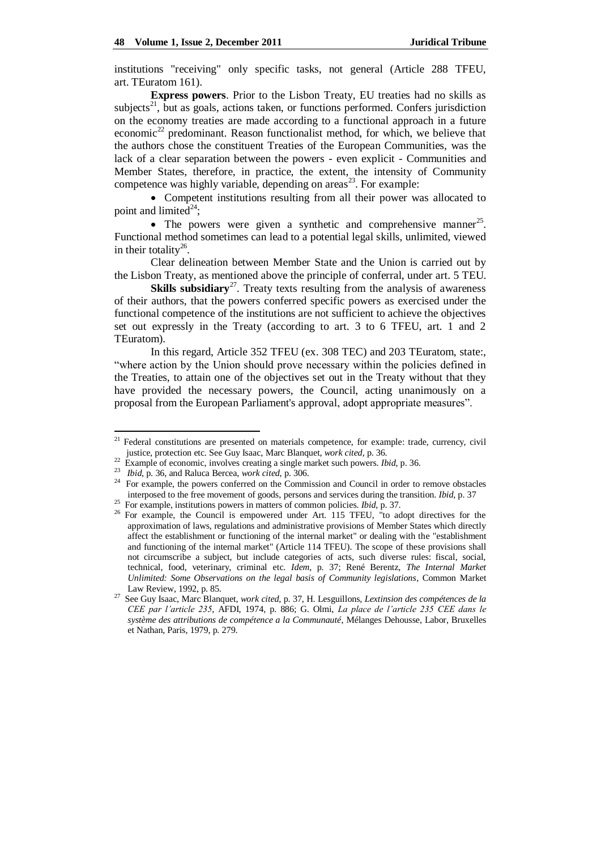institutions "receiving" only specific tasks, not general (Article 288 TFEU, art. TEuratom 161).

**Express powers**. Prior to the Lisbon Treaty, EU treaties had no skills as subjects<sup>21</sup>, but as goals, actions taken, or functions performed. Confers jurisdiction on the economy treaties are made according to a functional approach in a future economic<sup>22</sup> predominant. Reason functionalist method, for which, we believe that the authors chose the constituent Treaties of the European Communities, was the lack of a clear separation between the powers - even explicit - Communities and Member States, therefore, in practice, the extent, the intensity of Community competence was highly variable, depending on  $\arccos^{23}$ . For example:

 Competent institutions resulting from all their power was allocated to point and limited<sup>24</sup>;

• The powers were given a synthetic and comprehensive manner<sup>25</sup>. Functional method sometimes can lead to a potential legal skills, unlimited, viewed in their totality<sup>26</sup>.

Clear delineation between Member State and the Union is carried out by the Lisbon Treaty, as mentioned above the principle of conferral, under art. 5 TEU.

**Skills subsidiary**<sup>27</sup>. Treaty texts resulting from the analysis of awareness of their authors, that the powers conferred specific powers as exercised under the functional competence of the institutions are not sufficient to achieve the objectives set out expressly in the Treaty (according to art. 3 to 6 TFEU, art. 1 and 2 TEuratom).

In this regard, Article 352 TFEU (ex. 308 TEC) and 203 TEuratom, state:, "where action by the Union should prove necessary within the policies defined in the Treaties, to attain one of the objectives set out in the Treaty without that they have provided the necessary powers, the Council, acting unanimously on a proposal from the European Parliament's approval, adopt appropriate measures".

<sup>&</sup>lt;sup>21</sup> Federal constitutions are presented on materials competence, for example: trade, currency, civil justice, protection etc. See Guy Isaac, Marc Blanquet, *work cited,* p. 36.

<sup>&</sup>lt;sup>22</sup> Example of economic, involves creating a single market such powers. *Ibid*, p. 36.

<sup>23</sup> *Ibid*, p. 36, and Raluca Bercea, *work cited*, p. 306.

<sup>&</sup>lt;sup>24</sup> For example, the powers conferred on the Commission and Council in order to remove obstacles interposed to the free movement of goods, persons and services during the transition. *Ibid*, p. 37

<sup>&</sup>lt;sup>25</sup> For example, institutions powers in matters of common policies. *Ibid*, p. 37.

<sup>&</sup>lt;sup>26</sup> For example, the Council is empowered under Art. 115 TFEU, "to adopt directives for the approximation of laws, regulations and administrative provisions of Member States which directly affect the establishment or functioning of the internal market" or dealing with the "establishment and functioning of the internal market" (Article 114 TFEU). The scope of these provisions shall not circumscribe a subject, but include categories of acts, such diverse rules: fiscal, social, technical, food, veterinary, criminal etc. *Idem*, p. 37; René Berentz, *The Internal Market Unlimited: Some Observations on the legal basis of Community legislations*, Common Market Law Review, 1992, p. 85.

<sup>27</sup> See Guy Isaac, Marc Blanquet, *work cited*, p. 37, H. Lesguillons, *Lextinsion des compétences de la CEE par l'article 235*, AFDI, 1974, p. 886; G. Olmi, *La place de l'article 235 CEE dans le système des attributions de compétence a la Communauté*, Mélanges Dehousse, Labor, Bruxelles et Nathan, Paris, 1979, p. 279.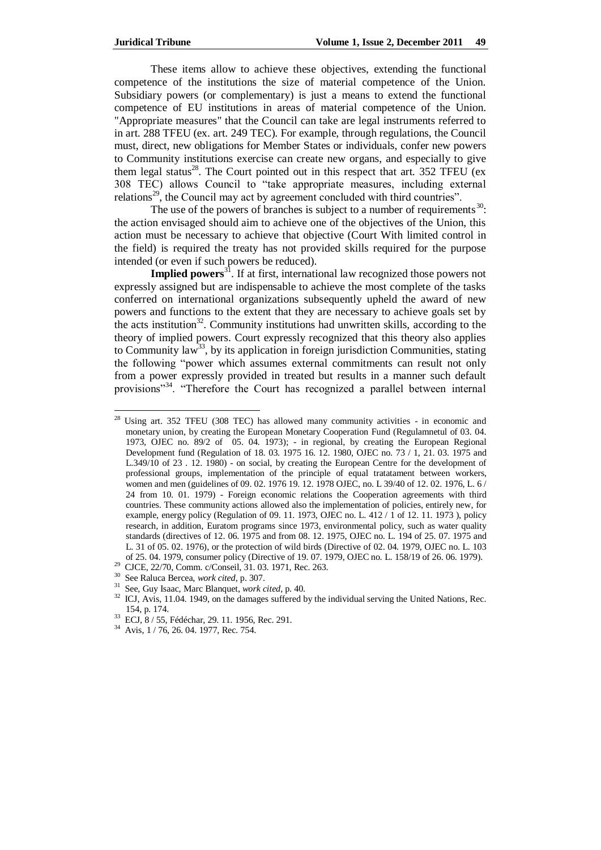These items allow to achieve these objectives, extending the functional competence of the institutions the size of material competence of the Union. Subsidiary powers (or complementary) is just a means to extend the functional competence of EU institutions in areas of material competence of the Union. "Appropriate measures" that the Council can take are legal instruments referred to in art. 288 TFEU (ex. art. 249 TEC). For example, through regulations, the Council must, direct, new obligations for Member States or individuals, confer new powers to Community institutions exercise can create new organs, and especially to give them legal status<sup>28</sup>. The Court pointed out in this respect that art. 352 TFEU (ex 308 TEC) allows Council to "take appropriate measures, including external relations<sup>29</sup>, the Council may act by agreement concluded with third countries".

The use of the powers of branches is subject to a number of requirements  $30$ . the action envisaged should aim to achieve one of the objectives of the Union, this action must be necessary to achieve that objective (Court With limited control in the field) is required the treaty has not provided skills required for the purpose intended (or even if such powers be reduced).

**Implied powers**<sup>31</sup>. If at first, international law recognized those powers not expressly assigned but are indispensable to achieve the most complete of the tasks conferred on international organizations subsequently upheld the award of new powers and functions to the extent that they are necessary to achieve goals set by the acts institution<sup>32</sup>. Community institutions had unwritten skills, according to the theory of implied powers. Court expressly recognized that this theory also applies to Community law<sup>33</sup>, by its application in foreign jurisdiction Communities, stating the following "power which assumes external commitments can result not only from a power expressly provided in treated but results in a manner such default provisions"<sup>34</sup>. "Therefore the Court has recognized a parallel between internal

 $28\,$ Using art. 352 TFEU (308 TEC) has allowed many community activities - in economic and monetary union, by creating the European Monetary Cooperation Fund (Regulamnetul of 03. 04. 1973, OJEC no. 89/2 of 05. 04. 1973); - in regional, by creating the European Regional Development fund (Regulation of 18. 03. 1975 16. 12. 1980, OJEC no. 73 / 1, 21. 03. 1975 and L.349/10 of 23 . 12. 1980) - on social, by creating the European Centre for the development of professional groups, implementation of the principle of equal tratatament between workers, women and men (guidelines of 09. 02. 1976 19. 12. 1978 OJEC, no. L 39/40 of 12. 02. 1976, L. 6 / 24 from 10. 01. 1979) - Foreign economic relations the Cooperation agreements with third countries. These community actions allowed also the implementation of policies, entirely new, for example, energy policy (Regulation of 09. 11. 1973, OJEC no. L. 412 / 1 of 12. 11. 1973 ), policy research, in addition, Euratom programs since 1973, environmental policy, such as water quality standards (directives of 12. 06. 1975 and from 08. 12. 1975, OJEC no. L. 194 of 25. 07. 1975 and L. 31 of 05. 02. 1976), or the protection of wild birds (Directive of 02. 04. 1979, OJEC no. L. 103 of 25. 04. 1979, consumer policy (Directive of 19. 07. 1979, OJEC no. L. 158/19 of 26. 06. 1979).

<sup>29</sup> CJCE, 22/70, Comm. c/Conseil, 31. 03. 1971, Rec. 263.

<sup>30</sup> See Raluca Bercea, *work cited*, p. 307.

<sup>31</sup> See, Guy Isaac, Marc Blanquet, *work cited*, p. 40.

<sup>&</sup>lt;sup>32</sup> ICJ, Avis, 11.04. 1949, on the damages suffered by the individual serving the United Nations, Rec. 154, p. 174.

<sup>33</sup> ECJ, 8 / 55, Fédéchar, 29. 11. 1956, Rec. 291.

<sup>34</sup> Avis, 1 / 76, 26. 04. 1977, Rec. 754.